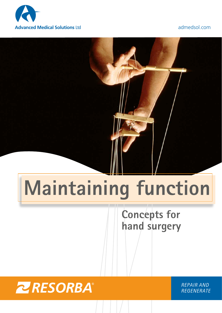

# **Maintaining function**

# **Concepts for hand surgery**



*REPAIR AND REGENERATE*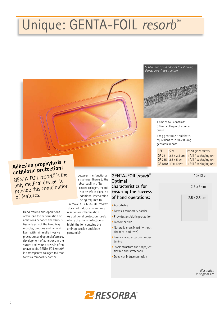# Unique: GENTA-FOIL *resorb®*

*SEM image of cut edge of foil showing dense, pore-free structure*



1 cm2 of foil contains: 5.6 mg collagen of equine origin

4 mg gentamicin sulphate, equivalent to 2.20-2.86 mg gentamicin base

| RFF   | <b>Size</b>         | Package contents        |  |  |  |
|-------|---------------------|-------------------------|--|--|--|
| GF 25 | $2.5 \times 2.5$ cm | 1 foil / packaging unit |  |  |  |
|       | GF 255 2.5 x 5 cm   | 1 foil / packaging unit |  |  |  |
|       | GF 1010 10 x 10 cm  | 1 foil / packaging unit |  |  |  |

## **Adhesion prophylaxis + antibiotic protection:**

GENTA-FOIL *resorb*® is the only medical device to provide this combination of features.

> Hand trauma and operations often lead to the formation of adhesions between the various tissue layers of the hand (e.g muscles, tendons and nerves). Even with minimally invasive procedures and optimal aftercare, development of adhesions in the suture and wound areas is often unavoidable. GENTA-FOIL *resorb*® is a transparent collagen foil that forms a temporary barrier

between the functional structures. Thanks to the absorbability of its equine collagen, the foil can be left in place, no additional intervention being required to

remove it. GENTA-FOIL *resorb*® does not induce any immune reaction or inflammation. As additional protection (useful where the risk of infection is high), the foil contains the aminoglycoside antibiotic gentamicin.

### **GENTA-FOIL resorb**® **Optimal characteristics for ensuring the success of hand operations:**

- Absorbable
- Forms a temporary barrier
- Provides antibiotic protection
- Biocompatible
- Naturally crosslinked (without chemical additives)
- Easily shaped after brief mois tening
- Stable structure and shape, yet flexible and stretchable
- Does not induce secretion



*Illustration in original size*

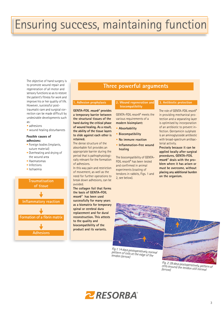# Ensuring success, maintaining function

The objective of hand surgery is to promote wound repair and regeneration of all motor and sensory functions so as to restore the patient's fitness for work and improve his or her quality of life. However, successful posttraumatic care and surgical correction can be made difficult by undesirable developments such as:

- adhesions
- wound healing disturbances

#### **Possible causes of adhesions:**

- Foreign bodies (implants, suture material)
- Overheating and drying of the wound area
- Haematomas
- Infections
- Ischaemia



### **Three powerful arguments**

#### **1. Adhesion prophylaxis**

GENTA-FOIL resorb<sup>®</sup> provides **a temporary barrier between the structural tissues of the hand during the critical phase of wound healing. As a result, the ability of the tissue layers to slide against each other is retained.**

The dense structure of the absorbable foil provides an appropriate barrier during the period that is pathophysiologically relevant for the formation of adhesions.

In this way pain and restriction of movement, as well as the need for further operations to break down adhesions, can be avoided.

**The collagen foil that forms the basis of GENTA-FOIL ® has been used successfully for many years as a biomatrix for temporary spinal or cerebral dura replacement and for dural reconstruction. This attests to the quality and biocompatibility of the product and its variants.**

### **2. Wound regeneration and biocompatibility**

GENTA-FOIL *resorb*® meets the various requirements of a **modern bioimplant:**

- **Absorbability**
- **Biocompatibility**
- **No immune reaction**
- **Inflammation-free wound healing**

The biocompatibility of GENTA-FOIL *resorb*® has been tested and confirmed in animal experiments (coating of tendons in rabbits, Figs. 1 and 2, see below).

#### **3. Antibiotic protection**

The role of GENTA-FOIL *resorb*® in providing mechanical protection and a separating layer is optimised by incorporation of an antibiotic to prevent infection. Gentamicin sulphate is an aminoglycoside antibiotic with broad-spectrum antibacterial activity.

**Precisely because it can be applied locally after surgical procedures, GENTA-FOIL ® deals with the problem where it has arisen or must be overcome, without placing any additional burden on the organism.**



*Fig.1: 14 days postoperatively, normal pattern of cells at the edge of the tendon (arrow)*



*Fig. 2: 28 days postoperatively, pattern of cells around the tendon still normal (arrow)*

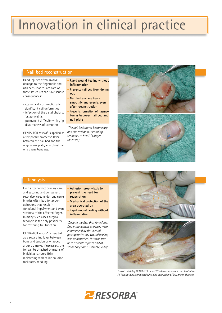# Innovation in clinical practice

### **Nail bed reconstruction**

Hand injuries often involve damage to the fingernails and nail beds. Inadequate care of these structures can have serious consequences:

- cosmetically or functionally significant nail deformities
- infection of the distal phalanx (osteomyelitis)
- permanent difficulty with grip
- disturbances of sensation

GENTA-FOIL *resorb*® is applied as a temporary protective layer between the nail bed and the original nail plate, an artificial nail or a gauze bandage.

- **Rapid wound healing without inflammation**
- **Prevents nail bed from drying out**
- **Nail bed surface heals smoothly and evenly, even after reconstruction**
- **Prevents formation of haema tomas between nail bed and nail plate**

*"The nail beds never became dry and showed an outstanding tendency to heal." ( Langer, Münster )*





### **Tenolysis**

Even after correct primary care and suturing and competent secondary care, tendon and nerve injuries often lead to tendon adhesions that result in functional impairment and even stiffness of the affected finger. In many such cases surgical tenolysis is the only possibility for restoring full function.

GENTA-FOIL *resorb*® is inserted as a separating layer between bone and tendon or wrapped around a nerve. If necessary, the foil can be attached by means of individual sutures. Brief moistening with saline solution facilitates handling.

- **Adhesion prophylaxis to prevent the need for reoperation**
- **Mechanical protection of the area operated on**
- **Rapid wound healing without inflammation**

*"Despite the fact that functional finger movement exercises were commenced by the second postoperative day, wound healing was undisturbed. This was true both of acute injuries and of secondary care." (Dönicke, Jena)*



*To assist visibility,* GENTA-FOIL *resorb® is shown in colour in the illustration. All illustrations reproduced with kind permission of Dr. Langer, Münster.*

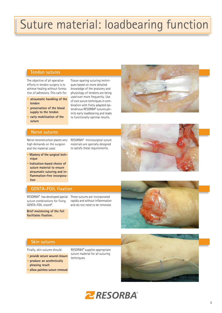# Suture material: loadbearing function

### **Tendon sutures**

The objective of all operative efforts in tendon surgery is to achieve healing without formation of adhesions. This calls for:

- **• atraumatic handling of the tendon**
- **• preservation of the blood supply to the tendon**
- **early mobilisation of the suture**

### **Nerve sutures**

Nerve reconstruction places very high demands on the surgeon and the material used:

- **Mastery of the surgical tech nique**
- **Indication-based choice of suture material to ensure atraumatic suturing and in flammation-free incorpora tion**

### **GENTA-FOIL fixation**

RESORBA® has developed special These sutures are incorporated suture combinations for fixing GENTA-FOIL *resorb*®.

**Brief moistening of the foil facilitates fixation.**

RESORBA® microsurgical suture materials are specially designed to satisfy these requirements.

Tissue-sparing suturing techniques based on more detailed knowledge of the anatomy and physiology of tendons are being used ever more frequently. Use of core suture techniques in combination with finely adapted epitendinous RESORBA® sutures permits early loadbearing and leads to functionally optimal results.

rapidly and without inflammation and do not need to be removed.







### **Skin sutures**

Finally, skin sutures should:

- **provide secure wound closure**
- **produce an aesthetically pleasing result**
- **allow painless suture removal**

RESORBA® supplies appropriate suture material for all suturing techniques.



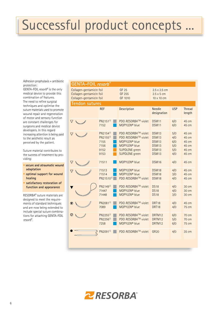# Successful product concepts ...

Adhesion prophylaxis + antibiotic protection:

GENTA-FOIL *resorb*® is the only medical device to provide this combination of features. The need to refine surgical techniques and optimise the suture materials used to promote wound repair and regeneration of motor and sensory function are constant challenges for surgeons and medical device developers. In this regard increasing attention is being paid to the aesthetic result as perceived by the patient.

Suture material contributes to the success of treatment by providing:

- **• secure and atraumatic wound adaptation**
- **• optimal support for wound healing**
- **• satisfactory restoration of function and appearance**

RESORBA® suture materials are designed to meet the requirements of standard techniques and are now being extended to include special suture combinations for attaching GENTA-FOIL *resorb*®.

| <b>GENTA-FOIL resorb®</b>                                                        |                                                                  |                                                                                                                                          |                                                                                |                                        |                                                    |  |  |  |
|----------------------------------------------------------------------------------|------------------------------------------------------------------|------------------------------------------------------------------------------------------------------------------------------------------|--------------------------------------------------------------------------------|----------------------------------------|----------------------------------------------------|--|--|--|
| Collagen-gentamicin foil<br>Collagen-gentamicin foil<br>Collagen-gentamicin foil |                                                                  | <b>GF 25</b><br>GF 255<br>GF 1010                                                                                                        | $2.5 \times 2.5$ cm<br>$2.5 \times 5$ cm<br>$10 \times 10$ cm                  |                                        |                                                    |  |  |  |
| <b>Tendon sutures</b>                                                            |                                                                  |                                                                                                                                          |                                                                                |                                        |                                                    |  |  |  |
|                                                                                  | <b>REF</b>                                                       | Description                                                                                                                              | <b>Needle</b><br>designation                                                   | <b>USP</b>                             | <b>Thread</b><br>length                            |  |  |  |
|                                                                                  | PN2151 <sup>1)</sup><br>7152                                     | PDO RESORBA™ violet<br>MOPYLEN <sup>®</sup> blue                                                                                         | DSM11<br>DSM11                                                                 | 6/0<br>6/0                             | 45 cm<br>45 cm                                     |  |  |  |
|                                                                                  | PN2154 <sup>1)</sup><br>PN21551)<br>7155<br>7156<br>9152<br>9153 | PDO RESORBA™ violet<br>PDO RESORBA™ violet<br>MOPYLEN <sup>®</sup> blue<br>MOPYLEN <sup>®</sup> blue<br>SUPOLENE green<br>SUPOLENE green | DSM13<br><b>DSM13</b><br>DSM13<br><b>DSM13</b><br><b>DSM13</b><br><b>DSM13</b> | 5/0<br>4/0<br>6/0<br>5/0<br>5/0<br>4/0 | 45 cm<br>45 cm<br>45 cm<br>45 cm<br>45 cm<br>45 cm |  |  |  |
|                                                                                  | 71511                                                            | MOPYLEN <sup>®</sup> blue                                                                                                                | DSM16                                                                          | 4/0                                    | 45 cm                                              |  |  |  |
|                                                                                  | 71513<br>71514<br>PN21510 <sup>1)</sup>                          | MOPYLEN <sup>®</sup> blue<br>MOPYLEN <sup>®</sup> blue<br>PDO RESORBA™ violet                                                            | DSM18<br>DSM18<br>DSM18                                                        | 4/0<br>3/0<br>4/0                      | 45 cm<br>45 cm<br>45 cm                            |  |  |  |
|                                                                                  | PN21491)<br>71447<br>71448                                       | PDO RESORBA™ violet<br>MOPYLEN <sup>®</sup> blue<br>MOPYLEN <sup>®</sup> blue                                                            | <b>DS18</b><br><b>DS18</b><br><b>DS18</b>                                      | 4/0<br>4/0<br>3/0                      | 30 cm<br>30 cm<br>30 cm                            |  |  |  |
|                                                                                  | PN2081 <sup>1)</sup><br>7089                                     | PDO RESORBA™ violet<br>MOPYLEN <sup>®</sup> blue                                                                                         | DRT18<br>DRT18                                                                 | 4/0<br>4/0                             | 45 cm<br>75 cm                                     |  |  |  |
|                                                                                  | PN22551)<br>PN2256 <sup>1)</sup><br>7258                         | PDO RESORBA™ violet<br>PDO RESORBA™ violet<br>MOPYLEN <sup>®</sup> blue                                                                  | DRTM12<br>DRTM12<br>DRTM12                                                     | 6/0<br>5/0<br>6/0                      | 70 cm<br>70 cm<br>75 cm                            |  |  |  |
|                                                                                  | PN20911)                                                         | PDO RESORBA™ violet                                                                                                                      | <b>GR20</b>                                                                    | 4/0                                    | 35 cm                                              |  |  |  |
|                                                                                  |                                                                  |                                                                                                                                          |                                                                                |                                        |                                                    |  |  |  |

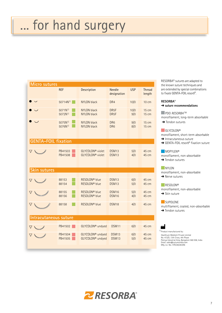# ... for hand surgery

| <b>Micro sutures</b>       |                                    |                                                              |                                        |             |                         |  |  |
|----------------------------|------------------------------------|--------------------------------------------------------------|----------------------------------------|-------------|-------------------------|--|--|
|                            | <b>REF</b>                         | Description                                                  | <b>Needle</b><br>designation           | <b>USP</b>  | <b>Thread</b><br>length |  |  |
|                            | 50714N <sup>1)</sup>               | <b>NYLON black</b>                                           | DR <sub>4</sub>                        | 10/0        | <b>10 cm</b>            |  |  |
|                            | $5071N^{1}$<br>5072N <sup>1)</sup> | <b>NYLON black</b><br><b>NYLON black</b>                     | DR <sub>5</sub> F<br>DR <sub>5</sub> F | 10/0<br>9/0 | <b>15 cm</b><br>15 cm   |  |  |
|                            | $5075N^{1}$<br>5076N <sup>1)</sup> | <b>NYLON black</b><br><b>NYLON black</b>                     | DR <sub>6</sub><br>DR <sub>6</sub>     | 9/0<br>8/0  | 15 cm<br><b>15 cm</b>   |  |  |
| <b>GENTA-FOIL fixation</b> |                                    |                                                              |                                        |             |                         |  |  |
| $\triangledown$            | PB41503<br>PB41508                 | GLYCOLON <sup>®</sup> violet<br>GLYCOLON <sup>®</sup> violet | DSM13<br>DSM13                         | 5/0<br>4/0  | 45 cm<br>45 cm          |  |  |
| <b>Skin sutures</b>        |                                    |                                                              |                                        |             |                         |  |  |
|                            | 88153<br>88154                     | RESOLON <sup>®</sup> blue<br>RESOLON <sup>®</sup> blue       | <b>DSM13</b><br><b>DSM13</b>           | 6/0<br>5/0  | 45 cm<br>45 cm          |  |  |
|                            | 88155<br>88156                     | RESOLON <sup>®</sup> blue<br>RESOLON <sup>®</sup> blue       | DSM16<br><b>DSM16</b>                  | 5/0<br>4/0  | 45 cm<br>45 cm          |  |  |
| ▽                          | 88158                              | RESOLON <sup>®</sup> blue                                    | DSM18                                  | 4/0         | 45 cm                   |  |  |
| Intracutaneous suture      |                                    |                                                              |                                        |             |                         |  |  |
| $\bigvee$                  | PB41502                            | GLYCOLON <sup>®</sup> undyed                                 | DSM11                                  | 6/0         | 45 cm                   |  |  |
| ▽                          | PB41504<br>PB41505                 | GLYCOLON <sup>®</sup> undyed<br>GLYCOLON <sup>®</sup> undyed | <b>DSM13</b><br><b>DSM13</b>           | 6/0<br>5/0  | 45 cm<br>45 cm          |  |  |

RESORBA® sutures are adapted to the known suture techniques and are extended by special combinations to fixate GENTA-FOIL *resorb*®.

#### **RESORBA®**

### ➜ **suture recommendations**

**PDO** *RESORBA* TM

monofilament, long-term absorbable **→ Tendon sutures** 

#### ■ GLYCOLON®

monofilament, short-term absorbable

**→ Intracutaneous suture** 

➜ GENTA-FOIL *resorb*® fixation suture

#### **MOPYLEN®**

monofilament, non-absorbable

### **→ Tendon sutures**

**NYLON** 

monofilament, non-absorbable **→ Nerve sutures** 

### ■RESOLON<sup>®</sup>

monofilament, non-absorbable  $\rightarrow$  Skin suture

**SUPOLENE** 

multifilament, coated, non-absorbable **→ Tendon sutures** 

### <u>MA</u>

1) Product manufactured by: Healthium Medtech Private Limited No. 472/D, 13th Cross, 4th Phase Peenya Industrial Area, Bangalore 560 058, India Email: sales@suturesindia.com Mfg. Lic. No.: KTK/28/283/96